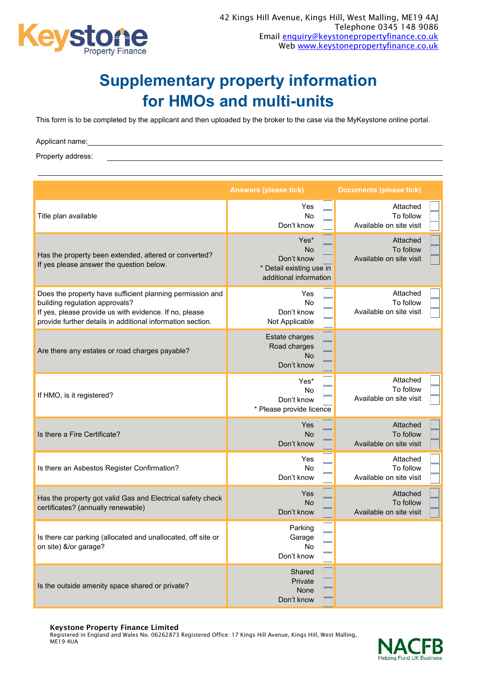

## **Supplementary property information for HMOs and multi-units**

This form is to be completed by the applicant and then uploaded by the broker to the case via the MyKeystone online portal.

Applicant name:

Property address:

|                                                                                                                                                                                                                     | <b>Answers (please tick)</b>                                                   | <b>Documents (please tick)</b>                   |
|---------------------------------------------------------------------------------------------------------------------------------------------------------------------------------------------------------------------|--------------------------------------------------------------------------------|--------------------------------------------------|
| Title plan available                                                                                                                                                                                                | Yes<br>No<br>Don't know                                                        | Attached<br>To follow<br>Available on site visit |
| Has the property been extended, altered or converted?<br>If yes please answer the question below.                                                                                                                   | Yes*<br>No<br>Don't know<br>* Detail existing use in<br>additional information | Attached<br>To follow<br>Available on site visit |
| Does the property have sufficient planning permission and<br>building regulation approvals?<br>If yes, please provide us with evidence. If no, please<br>provide further details in additional information section. | Yes<br>No<br>Don't know<br>Not Applicable                                      | Attached<br>To follow<br>Available on site visit |
| Are there any estates or road charges payable?                                                                                                                                                                      | Estate charges<br>Road charges<br>No<br>Don't know                             |                                                  |
| If HMO, is it registered?                                                                                                                                                                                           | Yes*<br>No<br>Don't know<br>* Please provide licence                           | Attached<br>To follow<br>Available on site visit |
| Is there a Fire Certificate?                                                                                                                                                                                        | Yes<br><b>No</b><br>Don't know                                                 | Attached<br>To follow<br>Available on site visit |
| Is there an Asbestos Register Confirmation?                                                                                                                                                                         | Yes<br>No<br>Don't know                                                        | Attached<br>To follow<br>Available on site visit |
| Has the property got valid Gas and Electrical safety check<br>certificates? (annually renewable)                                                                                                                    | Yes<br><b>No</b><br>Don't know                                                 | Attached<br>To follow<br>Available on site visit |
| Is there car parking (allocated and unallocated, off site or<br>on site) &/or garage?                                                                                                                               | Parking<br>Garage<br>No<br>Don't know                                          |                                                  |
| Is the outside amenity space shared or private?                                                                                                                                                                     | Shared<br>Private<br>None<br>Don't know                                        |                                                  |

## Keystone Property Finance Limited

Registered in England and Wales No. 06262873 Registered Office: 17 Kings Hill Avenue, Kings Hill, West Malling, ME19 4UA